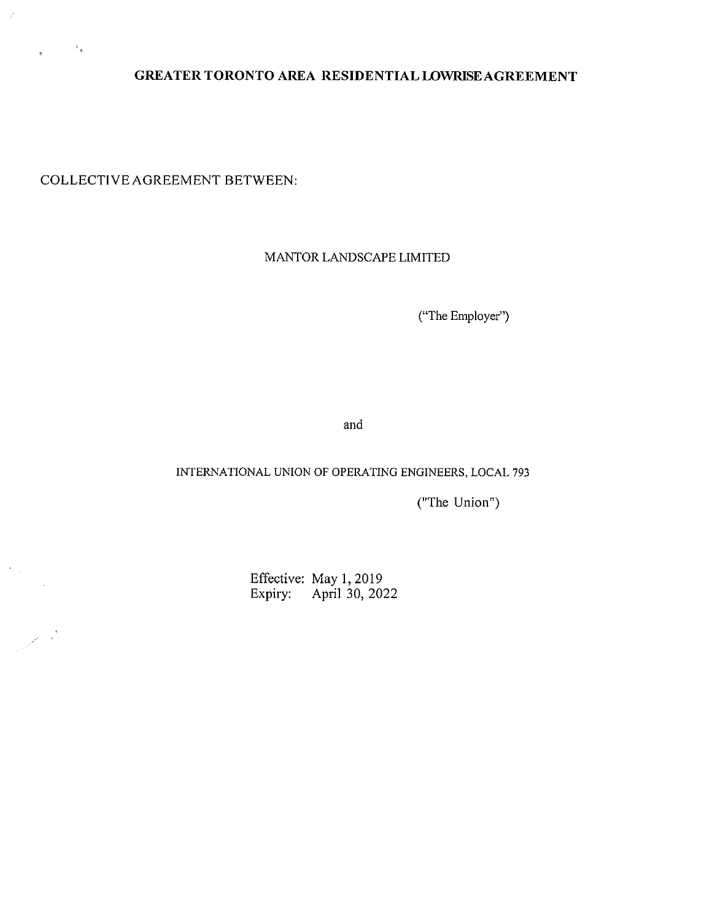**GREATER TORONTO AREA RESIDENTIAL LOWRISEAGREEMENT** 

COLLECTIVE AGREEMENT BETWEEN:

 $\sim$   $^{-1}$   $_{\oplus}$ 

 $\mathbf{r}$ 

 $\frac{1}{2} \left( \frac{1}{2} \right)$ 

 $\mathbb{R}^2$ 

### MANTOR LANDSCAPE LIMITED

{"The Employer")

and

#### INTERNATIONAL UNION OF OPERATING ENGINEERS, LOCAL 793

("The Union")

Effective: May I, 2019 Expiry: April 30, 2022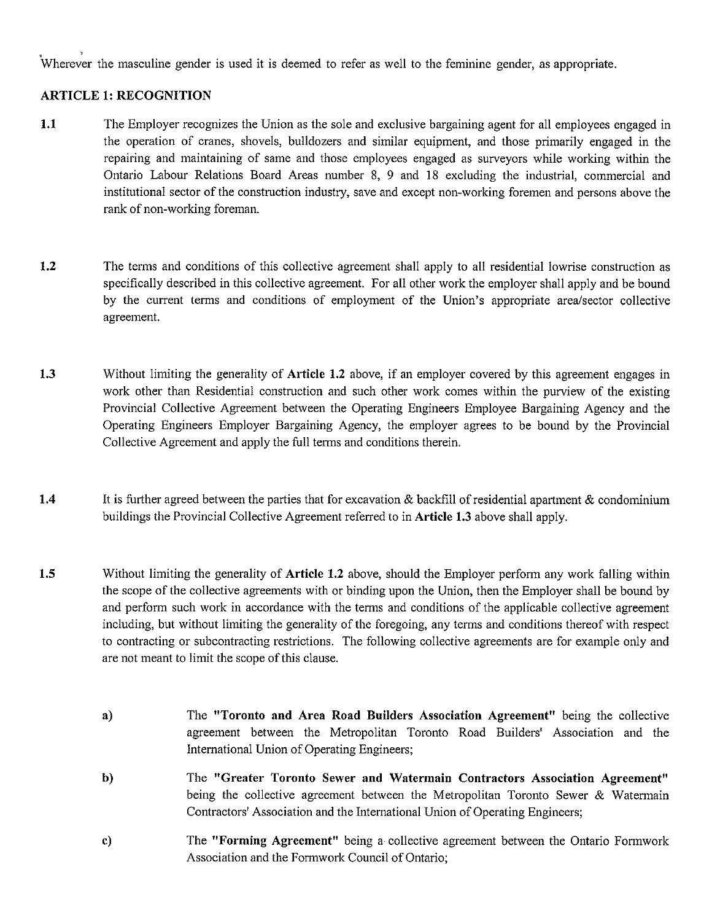wherever the masculine gender is used it is deemed to refer as well to the feminine gender, as appropriate.

#### **ARTICLE 1: RECOGNITION**

- **1.1** The Employer recognizes the Union as the sole and exclusive bargaining agent for all employees engaged in the operation of cranes, shovels, bulldozers and similar equipment, and those primarily engaged in the repairing and maintaining of same and those employees engaged as surveyors while working within the Ontario Labour Relations Board Areas number 8, 9 and 18 excluding the industrial, commercial and institutional sector of the construction industry, save and except non-working foremen and persons above the rank of non-working foreman.
- **1.2** The terms and conditions of this collective agreement shall apply to all residential lowrise construction as specifically described in this collective agreement. For all other work the employer shall apply and be bound by the current terms and conditions of employment of the Union's appropriate area/sector collective agreement.
- **1.3** Without limiting the generality of **Article 1.2** above, if an employer covered by this agreement engages in work other than Residential construction and such other work comes within the purview of the existing Provincial Collective Agreement between the Operating Engineers Employee Bargaining Agency and the Operating Engineers Employer Bargaining Agency, the employer agrees to be bound by the Provincial Collective Agreement and apply the full terms and conditions therein.
- **1.4** It is further agreed between the parties that for excavation & backfill of residential apartment & condominium buildings the Provincial Collective Agreement referred to in **Article 1.3** above shall apply.
- **1.5** Without limiting the generality of **Article 1.2** above, should the Employer perform any work falling within the scope of the collective agreements with or binding upon the Union, then the Employer shall be bound by and perform such work in accordance with the terms and conditions of the applicable collective agreement including, but without limiting the generality of the foregoing, any terms and conditions thereof with respect to contracting or subcontracting restrictions. The following collective agreements are for example only and are not meant to limit the scope of this clause.
	- **a)**  The **"Toronto and Area Road Builders Association Agreement"** being the collective agreement between the Metropolitan Toronto Road Builders' Association and the International Union of Operating Engineers;
	- **b)**  The **"Greater Toronto Sewer and Watermain Contractors Association Agreement"**  being the collective agreement between the Metropolitan Toronto Sewer & Watermain Contractors' Association and the International Union of Operating Engineers;
	- **c)**  The **"Forming Agreement"** being a collective agreement between the Ontario Formwork Association and the Formwork Council of Ontario;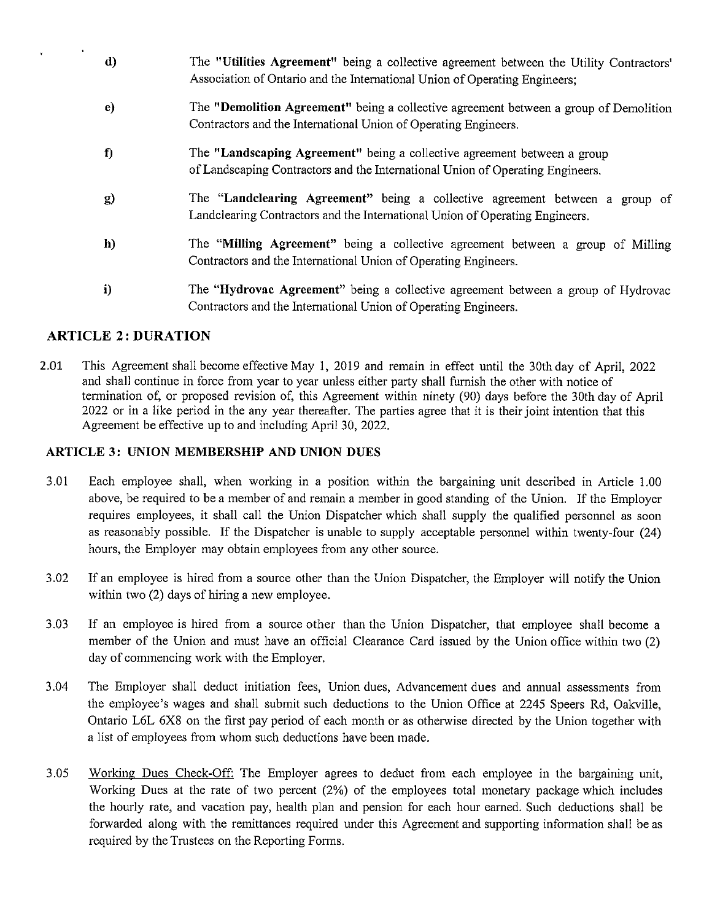| d)           | The "Utilities Agreement" being a collective agreement between the Utility Contractors'<br>Association of Ontario and the International Union of Operating Engineers; |
|--------------|-----------------------------------------------------------------------------------------------------------------------------------------------------------------------|
| e)           | The "Demolition Agreement" being a collective agreement between a group of Demolition<br>Contractors and the International Union of Operating Engineers.              |
| $\mathbf f$  | The "Landscaping Agreement" being a collective agreement between a group<br>of Landscaping Contractors and the International Union of Operating Engineers.            |
| $\mathbf{g}$ | The "Landclearing Agreement" being a collective agreement between a group of<br>Landclearing Contractors and the International Union of Operating Engineers.          |
| h)           | The "Milling Agreement" being a collective agreement between a group of Milling<br>Contractors and the International Union of Operating Engineers.                    |
| i)           | The "Hydrovac Agreement" being a collective agreement between a group of Hydrovac                                                                                     |

### **ARTICLE 2: DURATION**

2.01 This Agreement shall become effective May 1, 2019 and remain in effect until the 30th day of April, 2022 and shall continue in force from year to year unless either party shall furnish the other with notice of termination of, or proposed revision of, this Agreement within ninety (90) days before the 30th day of April 2022 or in a like period in the any year thereafter. The parties agree that it is their joint intention that this Agreement be effective up to and including April 30, 2022.

Contractors and the International Union of Operating Engineers.

### **ARTICLE 3: UNION MEMBERSHIP AND UNION DUES**

- 3.01 Each employee shall, when working in a position within the bargaining unit described in Article 1.00 above, be required to be a member of and remain a member in good standing of the Union. If the Employer requires employees, it shall call the Union Dispatcher which shall supply the qualified personnel as soon as reasonably possible. If the Dispatcher is unable to supply acceptable personnel within twenty-four (24) hours, the Employer may obtain employees from any other source.
- 3.02 If an employee is hired from a source other than the Union Dispatcher, the Employer will notify the Union within two (2) days of hiring a new employee.
- 3.03 If an employee is hired from a source other than the Union Dispatcher, that employee shall become a member of the Union and must have an official Clearance Card issued by the Union office within two (2) day of commencing work with the Employer.
- 3.04 The Employer shall deduct initiation fees, Union dues, Advancement dues and annual assessments from the employee's wages and shall submit such deductions to the Union Office at 2245 Speers Rd, Oakville, Ontario L6L 6X8 on the first pay period of each month or as otherwise directed by the Union together with a list of employees from whom such deductions have been made.
- 3.05 Working Dues Check-Off: The Employer agrees to deduct from each employee in the bargaining unit, Working Dues at the rate of two percent (2%) of the employees total monetary package which includes the hourly rate, and vacation pay, health plan and pension for each hour earned. Such deductions shall be forwarded along with the remittances required under this Agreement and supporting information shall be as required by the Trustees on the Reporting Forms.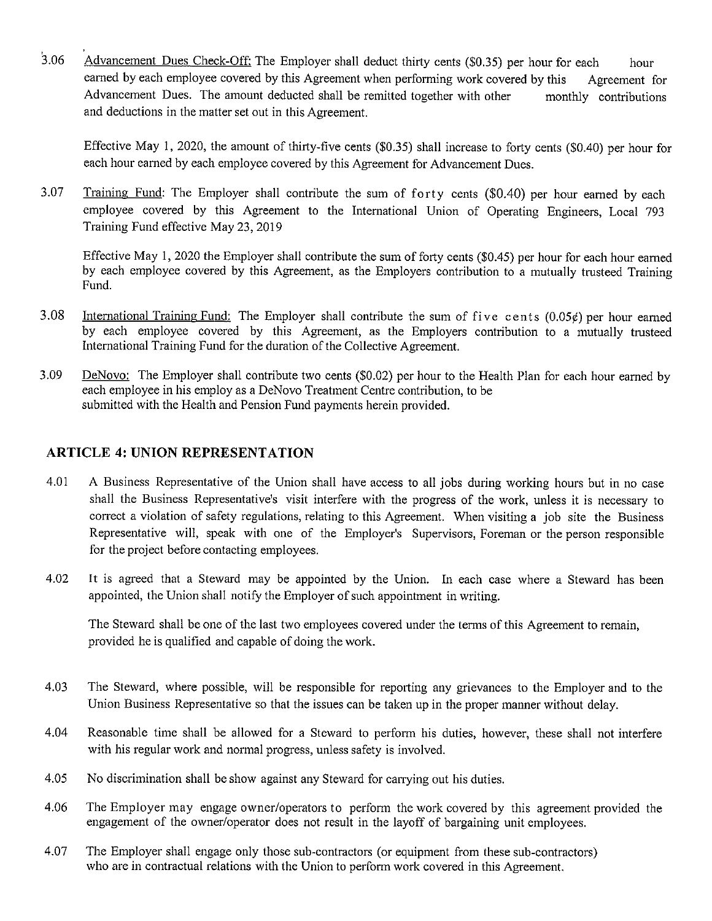3.06 Advancement Dues Check-Off: The Employer shall deduct thirty cents (\$0.35) per hour for each hour earned by each employee covered by this Agreement when performing work covered by this Agreement for Advancement Dues. The amount dedncted shall be remitted together with other and deductions in the matter set ont in this Agreement. monthly contributions

Effective May I, 2020, the amount of thirty-five cents (\$0.35) shall increase to forty cents (\$0.40) per hour for each hour earned by each employee covered by this Agreement for Advancement Dues.

3.07 Training Fund: The Employer shall contribute the sum of forty cents (\$0.40) per hour earned by each employee covered by this Agreement to the International Union of Operating Engineers, Local 793 Training Fund effective May 23, 2019

Effective May I, 2020 the Employer shall contribute the sum of forty cents (\$0.45) per hour for each hour earned by each employee covered by this Agreement, as the Employers contribution to a mutually trusteed Training Fund.

- 3.08 International Training Fund: The Employer shall contribute the sum of five cents (0.05¢) per hour earned by each employee covered by this Agreement, as the Employers contribution to a mutually trusteed International Training Fund for the duration of the Collective Agreement.
- 3.09 DeNovo: The Employer shall contribute two cents (\$0.02) per hour to the Health Plan for each hour earned by each employee in his employ as a DeNovo Treatment Centre contribution, to be submitted with the Health and Pension Fund payments herein provided.

### **ARTICLE 4: UNION REPRESENTATION**

- 4.01 A Business Representative of the Union shall have access to all jobs during working hours but in no case shall the Business Representative's visit interfere with the progress of the work, unless it is necessary to correct a violation of safety regulations, relating to this Agreement. When visiting a job site the Business Representative will, speak with one of the Employer's Supervisors, Foreman or the person responsible for the project before contacting employees.
- 4.02 It is agreed that a Steward may be appointed by the Union. In each case where a Steward has been appointed, the Union shall notify the Employer of such appointment in writing.

The Steward shall be one of the last two employees covered under the terms of this Agreement to remain, provided he is qualified and capable of doing the work.

- 4.03 The Steward, where possible, will be responsible for reporting any grievances to the Employer and to the Union Business Representative so that the issues can be taken up in the proper manner without delay.
- 4.04 Reasonable time shall be allowed for a Steward to perform his duties, however, these shall not interfere with his regular work and normal progress, unless safety is involved.
- 4.05 No discrimination shall be show against any Steward for carrying out his duties.
- 4.06 The Employer may engage owner/operators to perform the work covered by this agreement provided the engagement of the owner/operator does not result in the layoff of bargaining unit employees.
- 4.07 The Employer shall engage only those sub-contractors (or equipment from these sub-contractors) who are in contractual relations with the Union to perform work covered in this Agreement.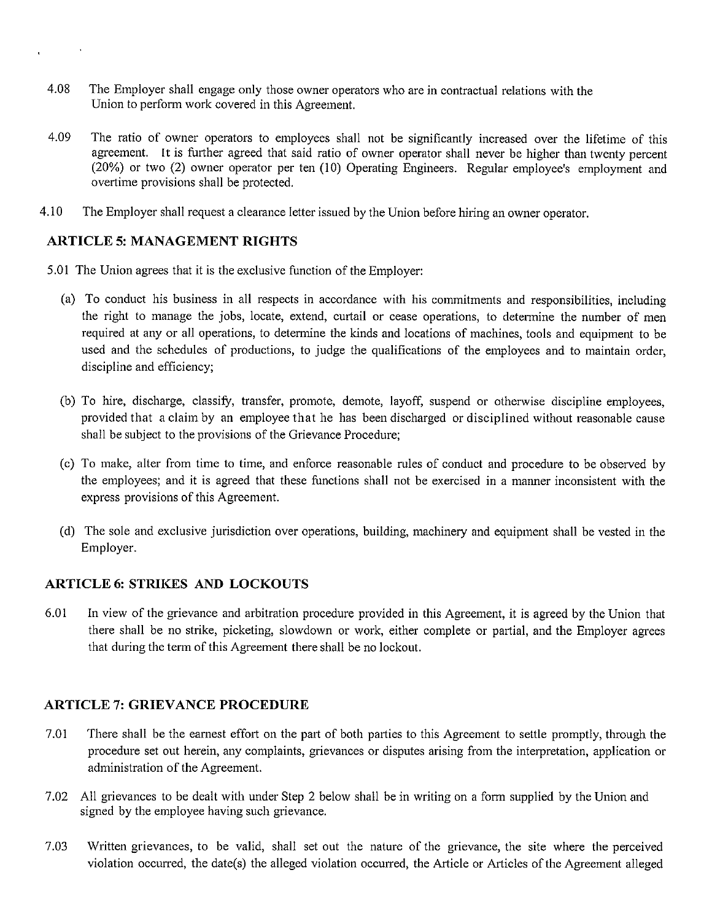- 4.08 The Employer shall engage only those owner operators who are in contractual relations with the Union to perform work covered in this Agreement.
- 4.09 The ratio of owner operators to employees shall not be significantly increased over the lifetime of this agreement. It is further agreed that said ratio of owner operator shall never be higher than twenty percent (20%) or two (2) owner operator per ten (10) Operating Engineers. Regular employee's employment and overtime provisions shall be protected.
- 4.10 The Employer shall request a clearance letter issued by the Union before hiring an owner operator.

#### **ARTICLE 5: MANAGEMENT RIGHTS**

- 5.01 The Union agrees that it is the exclusive function of the Employer:
	- (a) To conduct his business in all respects in accordance with his commitments and responsibilities, including the right to manage the jobs, locate, extend, curtail or cease operations, to determine the number of men required at any or all operations, to determine the kinds and locations of machines, tools and equipment to be used and the schedules of productions, to judge the qualifications of the employees and to maintain order, discipline and efficiency;
	- (b) To hire, discharge, classify, transfer, promote, demote, layoff, suspend or otherwise discipline employees, provided that a claim by an employee that he has been discharged or disciplined without reasonable cause shall be subject to the provisions of the Grievance Procedure;
	- (c) To make, alter from time to time, and enforce reasonable rules of conduct and procedure to be observed by the employees; and it is agreed that these functions shall not be exercised in a manner inconsistent with the express provisions of this Agreement.
	- ( d) The sole and exclusive jurisdiction over operations, building, machinery and equipment shall be vested in the Employer.

### **ARTICLE 6: STRIKES AND LOCKOUTS**

6.01 In view of the grievance and arbitration procedure provided in this Agreement, it is agreed by the Union that there shall be no strike, picketing, slowdown or work, either complete or partial, and the Employer agrees that during the term of this Agreement there shall be no lockout.

### **ARTICLE 7: GRIEVANCE PROCEDURE**

- 7.01 There shall be the earnest effort on the part of both parties to this Agreement to settle promptly, through the procedure set out herein, any complaints, grievances or disputes arising from the interpretation, application or administration of the Agreement.
- 7.02 All grievances to be dealt with under Step 2 below shall be in writing on a form supplied by the Union and signed by the employee having such grievance.
- 7.03 Written grievances, to be valid, shall set out the nature of the grievance, the site where the perceived violation occurred, the date(s) the alleged violation occurred, the Article or Articles of the Agreement alleged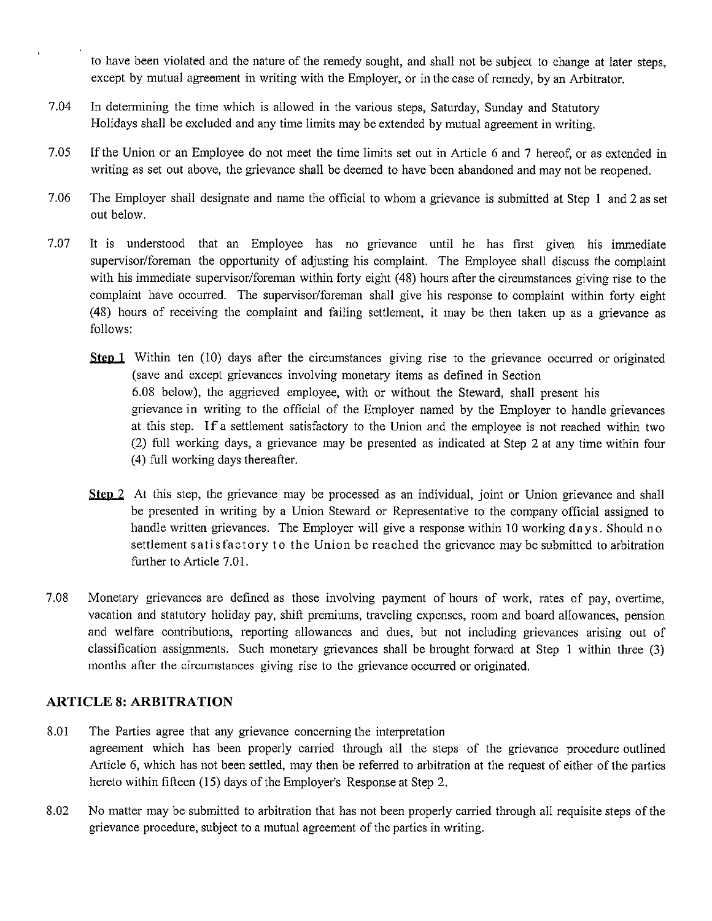to have been violated and the nature of the remedy sought, and shall not be subject to change at later steps, except by mutual agreement in writing with the Employer, or in the case of remedy, by an Arbitrator.

- 7.04 In determining the time which is allowed in the various steps, Saturday, Sunday and Statutory Holidays shall be excluded and any time limits may be extended by mutual agreement in writing.
- 7.05 If the Union or an Employee do not meet the time limits set out in Article 6 and 7 hereof, or as extended in writing as set out above, the grievance shall be deemed to have been abandoned and may not be reopened.
- 7.06 The Employer shall designate and name the official to whom a grievance is submitted at Step I and 2 as set out below.
- 7 .07 It is understood that an Employee has no grievance until he has first given his immediate supervisor/foreman the opportunity of adjusting his complaint. The Employee shall discuss the complaint with his immediate supervisor/foreman within forty eight (48) hours after the circumstances giving rise to the complaint have occurred. The supervisor/foreman shall give his response to complaint within forty eight (48) hours of receiving the complaint and failing settlement, it may be then taken up as a grievance as follows:
	- **<u>Step 1</u>** Within ten (10) days after the circumstances giving rise to the grievance occurred or originated (save and except grievances involving monetary items as defined in Section 6.08 below), the aggrieved employee, with or without the Steward, shall present his grievance in writing to the official of the Employer named by the Employer to handle grievances at this step. If a settlement satisfactory to the Union and the employee is not reached within two (2) full working days, a grievance may be presented as indicated at Step 2 at any time within four (4) full working days thereafter.
	- **Step 2**. At this step, the grievance may be processed as an individual, joint or Union grievance and shall be presented in writing by a Union Steward or Representative to the company official assigned to handle written grievances. The Employer will give a response within 10 working days. Should no settlement satisfactory to the Union be reached the grievance may be submitted to arbitration further to Article 7.01.
- 7.08 Monetary grievances are defined as those involving payment of hours of work, rates of pay, overtime, vacation and statutory holiday pay, shift premiums, traveling expenses, room and board allowances, pension and welfare contributions, reporting allowances and dues, but not including grievances arising out of classification assignments. Such monetary grievances shall be brought forward at Step I within three (3) months after the circumstances giving rise to the grievance occurred or originated.

## **ARTICLE 8: ARBITRATION**

- 8.01 The Parties agree that any grievance concerning the interpretation agreement which has been properly carried through all the steps of the grievance procedure outlined Article 6, which has not been settled, may then be referred to arbitration at the request of either of the parties hereto within fifteen (15) days of the Employer's Response at Step 2.
- 8.02 No matter may be submitted to arbitration that has not been properly carried through all requisite steps of the grievance procedure, subject to a mutual agreement of the parties in writing.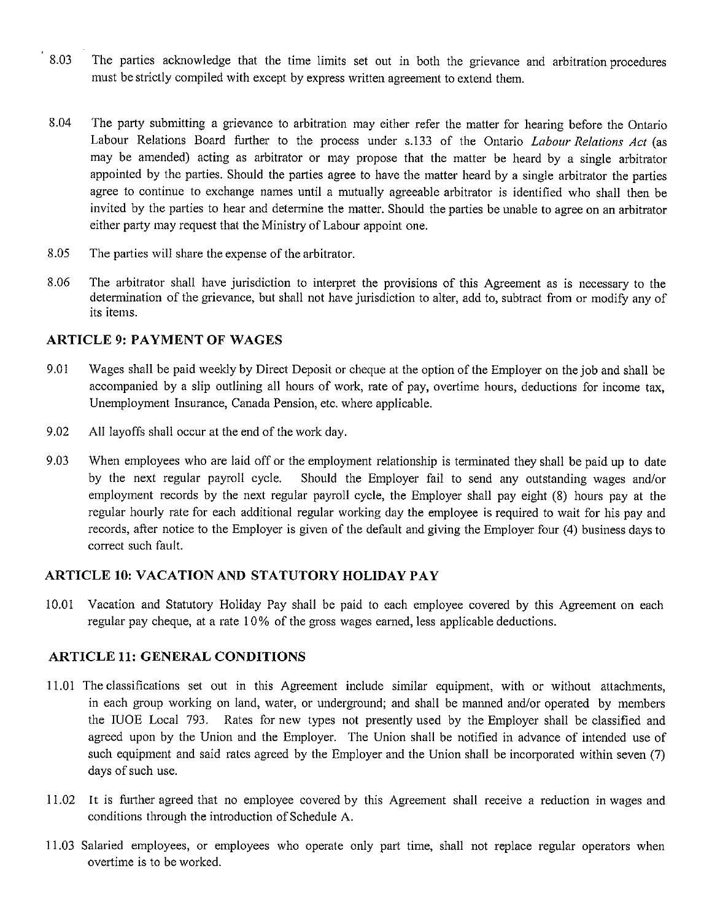- 8.03 The parties acknowledge that the time limits set out in both the grievance and arbitration procedures must be strictly compiled with except by express written agreement to extend them.
- 8.04 The party submitting a grievance to arbitration may either refer the matter for hearing before the Ontario Labour Relations Board further to the process under s.133 of the Ontario *Labour Relations Act* (as may be amended) acting as arbitrator or may propose that the matter be heard by a single arbitrator appointed by the parties. Should the parties agree to have the matter heard by a single arbitrator the parties agree to continue to exchange names until a mutually agreeable arbitrator is identified who shall then be invited by the parties to hear and determine the matter. Should the parties be unable to agree on an arbitrator either party may request that the Ministry of Labour appoint one.
- 8.05 The parties will share the expense of the arbitrator.
- 8.06 The arbitrator shall have jurisdiction to interpret the provisions of this Agreement as is necessary to the determination of the grievance, but shall not have jurisdiction to alter, add to, subtract from or modify any of its items.

### **ARTICLE 9: PAYMENT OF WAGES**

- 9.01 Wages shall be paid weekly by Direct Deposit or cheque at the option of the Employer on the job and shall be accompanied by a slip outlining all hours of work, rate of pay, overtime hours, deductions for income tax, Unemployment Insurance, Canada Pension, etc. where applicable.
- 9.02 All layoffs shall occur at the end of the work day.
- 9.03 When employees who are laid off or the employment relationship is terminated they shall be paid up to date by the next regular payroll cycle. Should the Employer fail to send any outstanding wages and/or employment records by the next regular payroll cycle, the Employer shall pay eight (8) hours pay at the regular hourly rate for each additional regular working day the employee is required to wait for his pay and records, after notice to the Employer is given of the default and giving the Employer four (4) business days to correct such fault.

### **ARTICLE 10: VACATION AND STATUTORY HOLIDAY PAY**

10.01 Vacation and Statutory Holiday Pay shall be paid to each employee covered by this Agreement on each regular pay cheque, at a rate 10% of the gross wages earned, less applicable deductions.

### **ARTICLE 11: GENERAL CONDITIONS**

- I 1.01 The classifications set out in this Agreement include similar equipment, with or without attachments, in each group working on land, water, or underground; and shall be manned and/or operated by members the lUOE Local 793. Rates for new types not presently used by the Employer shall be classified and agreed upon by the Union and the Employer. The Union shall be notified in advance of intended use of such equipment and said rates agreed by the Employer and the Union shall be incorporated within seven (7) days of such use.
- 11.02 It is further agreed that no employee covered by this Agreement shall receive a reduction in wages and conditions through the introduction of Schedule A.
- 11.03 Salaried employees, or employees who operate only part time, shall not replace regular operators when overtime is to be worked.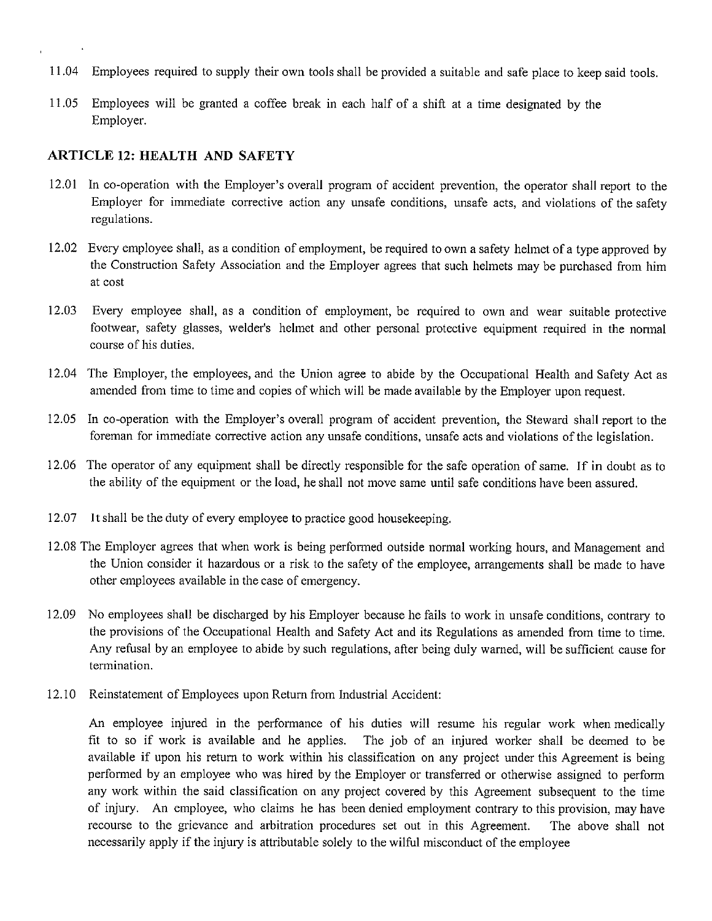- 11.04 Employees required to supply their own tools shall be provided a suitable and safe place to keep said tools.
- 11.05 Employees will be granted a coffee break in each half of a shift at a time designated by the Employer.

#### **ARTICLE 12: HEALTH AND SAFETY**

- 12.01 In co-operation with the Employer's overall program of accident prevention, the operator shall report to the Employer for immediate corrective action any unsafe conditions, unsafe acts, and violations of the safety regulations.
- 12.02 Every employee shall, as a condition of employment, be required to own a safety helmet of a type approved by the Construction Safety Association and the Employer agrees that such helmets may be purchased from him at cost
- 12.03 Every employee shall, as a condition of employment, be required to own and wear suitable protective footwear, safety glasses, welder's helmet and other personal protective equipment required in the normal course of his duties.
- 12.04 The Employer, the employees, and the Union agree to abide by the Occupational Health and Safety Act as amended from time to time and copies of which will be made available by the Employer upon request.
- 12.05 In co-operation with the Employer's overall program of accident prevention, the Steward shall report to the foreman for immediate corrective action any unsafe conditions, unsafe acts and violations of the legislation.
- 12.06 The operator of any equipment shall be directly responsible for the safe operation of same. If in doubt as to the ability of the equipment or the load, he shall not move same until safe conditions have been assured.
- 12.07 **It** shall be the duty of every employee to practice good housekeeping.
- 12.08 The Employer agrees that when work is being performed outside normal working hours, and Management and the Union consider it hazardous or a risk to the safety of the employee, arrangements shall be made to have other employees available in the case of emergency.
- 12.09 No employees shall be discharged by his Employer because he fails to work in unsafe conditions, contrary to the provisions of the Occupational Health and Safety Act and its Regulations as amended from time to time. Any refusal by an employee to abide by such regulations, after being duly warned, will be sufficient cause for termination.
- 12.10 Reinstatement of Employees upon Return from Industrial Accident:

An employee injured in the performance of his duties will resume his regular work when medically fit to so if work is available and he applies. The job of an injured worker shall be deemed to be available if upon his return to work within his classification on any project under this Agreement is being performed by an employee who was hired by the Employer or transferred or otherwise assigned to perform any work within the said classification on any project covered by this Agreement subsequent to the time of injury. An employee, who claims he has been denied employment contrary to this provision, may have recourse to the grievance and arbitration procedures set out in this Agreement. The above shall not necessarily apply if the injury is attributable solely to the wilful misconduct of the employee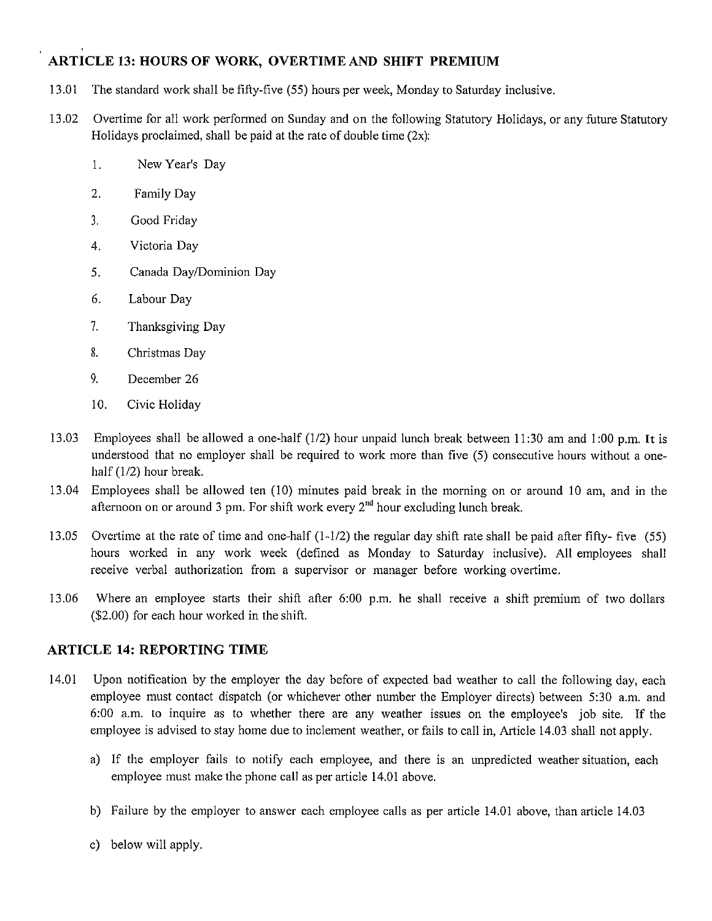# **ARTICLE 13: HOURS OF WORK, OVERTIME AND SHIFT PREMIUM**

- 13.01 The standard work shall be fifty-five (55) hours per week, Monday to Saturday inclusive.
- 13.02 Overtime for all work performed on Sunday and on the following Statutory Holidays, or any future Statutory Holidays proclaimed, shall be paid at the rate of double time  $(2x)$ :
	- I. New Year's Day
	- 2. Family Day
	- 3. Good Friday
	- 4. Victoria Day
	- 5. Canada Day/Dominion Day
	- 6. Labour Day
	- 7. Thanksgiving Day
	- 8. Christmas Day
	- 9. December 26
	- 10. Civic Holiday
- 13.03 Employees shall be allowed a one-half (1/2) hour unpaid lunch break between 11 :30 am and 1 :00 p.m. It is understood that no employer shall be required to work more than five (5) consecutive hours without a onehalf (1/2) hour break.
- 13.04 Employees shall be allowed ten (10) minutes paid break in the morning on or around 10 am, and in the afternoon on or around 3 pm. For shift work every  $2<sup>nd</sup>$  hour excluding lunch break.
- 13.05 Overtime at the rate of time and one-half (1-1/2) the regular day shift rate shall be paid after fifty- five (55) hours worked in any work week (defined as Monday to Saturday inclusive). All employees shall receive verbal authorization from a supervisor or manager before working overtime.
- 13.06 Where an employee starts their shift after 6:00 p.m. he shall receive a shift premium of two dollars (\$2.00) for each hour worked in the shift.

## **ARTICLE 14: REPORTING TIME**

- 14.01 Upon notification by the employer the day before of expected bad weather to call the following day, each employee must contact dispatch (or whichever other number the Employer directs) between 5:30 a.m. and 6:00 a.m. to inquire as to whether there are any weather issues on the employee's job site. If the employee is advised to stay home due to inclement weather, or fails to call in, Article 14.03 shall not apply.
	- a) If the employer fails to notify each employee, and there is an unpredicted weather situation, each employee must make the phone call as per article 14.01 above.
	- b) Failure by the employer to answer each employee calls as per article 14.01 above, than article 14.03
	- c) below will apply.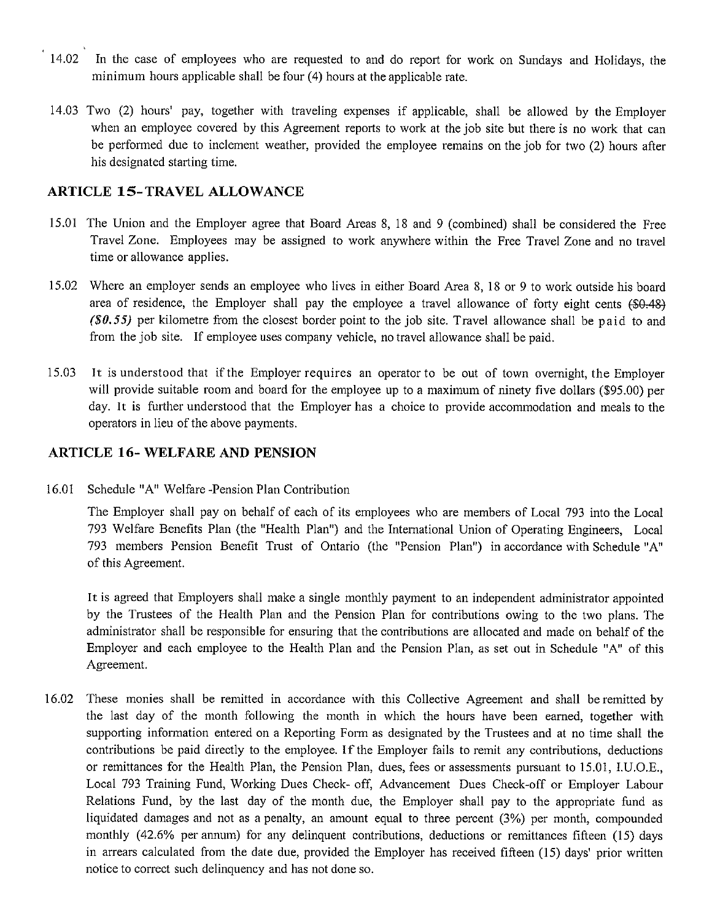- 14.02 In the case of employees who are requested to and do report for work on Sundays and Holidays, the minimum hours applicable shall be four  $(4)$  hours at the applicable rate.
- 14.03 Two (2) hours' pay, together with traveling expenses if applicable, shall be allowed by the Employer when an employee covered by this Agreement reports to work at the job site but there is no work that can be performed due to inclement weather, provided the employee remains on the job for two (2) hours after his designated starting time.

### **ARTICLE 15-TRAVEL ALLOWANCE**

- 15.01 The Union and the Employer agree that Board Areas 8, 18 and 9 (combined) shall be considered the Free Travel Zone. Employees may be assigned to work anywhere within the Free Travel Zone and no travel time or allowance applies.
- 15.02 Where an employer sends an employee who lives in either Board Area 8, 18 or 9 to work outside his board area of residence, the Employer shall pay the employee a travel allowance of forty eight cents (\$0.48) *(\$0.55)* per kilometre from the closest border point to the job site. Travel allowance shall be paid to and from the job site. If employee uses company vehicle, no travel allowance shall be paid.
- 15.03 It is understood that if the Employer requires an operator to be out of town overnight, the Employer will provide suitable room and board for the employee up to a maximum of ninety five dollars (\$95.00) per day. It is further understood that the Employer has a choice to provide accommodation and meals to the operators in lieu of the above payments.

### **ARTICLE 16- WELFARE AND PENSION**

16.01 Schedule "A" Welfare -Pension Plan Contribution

The Employer shall pay on behalf of each of its employees who are members of Local 793 into the Local 793 Welfare Benefits Plan (the "Health Plan") and the International Union of Operating Engineers, Local 793 members Pension Benefit Trust of Ontario (the "Pension Plan") in accordance with Schedule "A" of this Agreement.

It is agreed that Employers shall make a single monthly payment to an independent administrator appointed by the Trustees of the Health Plan and the Pension Plan for contributions owing to the two plans. The administrator shall be responsible for ensuring that the contributions are allocated and made on behalf of the Employer and each employee to the Health Plan and the Pension Plan, as set out in Schedule "A" of this Agreement.

16.02 These monies shall be remitted in accordance with this Collective Agreement and shall be remitted by the last day of the month following the month in which the hours have been earned, together with supporting information entered on a Reporting Form as designated by the Trustees and at no time shall the contributions be paid directly to the employee. If the Employer fails to remit any contributions, deductions or remittances for the Health Plan, the Pension Plan, dues, fees or assessments pursuant to 15.01, I.U.O.E., Local 793 Training Fund, Working Dues Check- off, Advancement Dues Check-off or Employer Labour Relations Fund, by the last day of the month due, the Employer shall pay to the appropriate fund as liquidated damages and not as a penalty, an amount equal to three percent (3%) per month, compounded monthly (42.6% per annum) for any delinquent contributions, deductions or remittances fifteen (15) days in arrears calculated from the date due, provided the Employer has received fifteen (15) days' prior written notice to correct such delinquency and has not done so.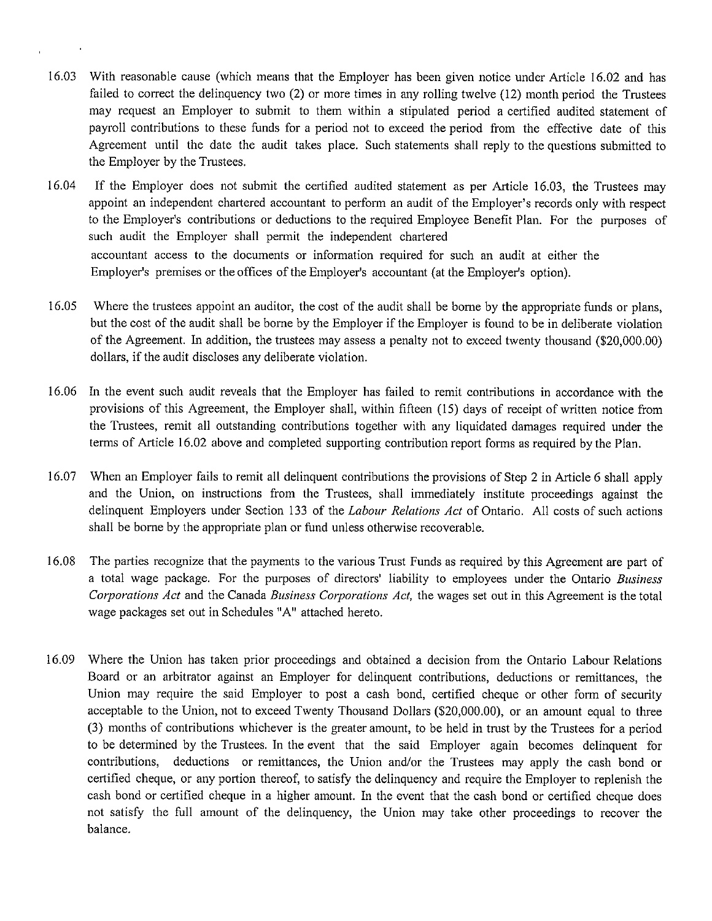- 16.03 With reasonable cause (which means that the Employer has been given notice under Article 16.02 and has failed to correct the delinquency two (2) or more times in any rolling twelve (12) month period the Trustees may request an Employer to submit to them within a stipulated period a certified audited statement of payroll contributions to these funds for a period not to exceed the period from the effective date of this Agreement until the date the audit takes place. Such statements shall reply to the questions submitted to the Employer by the Trustees.
- 16.04 If the Employer does not submit the certified audited statement as per Article 16.03, the Trustees may appoint an independent chartered accountant to perform an audit of the Employer's records only with respect to the Employer's contributions or deductions to the required Employee Benefit Plan. For the purposes of such audit the Employer shall permit the independent chartered accountant access to the documents or information required for such an audit at either the Employer's premises or the offices of the Employer's accountant (at the Employer's option).
- 16.05 Where the trustees appoint an auditor, the cost of the audit shall be borne by the appropriate funds or plans, but the cost of the audit shall be borne by the Employer if the Employer is found to be in deliberate violation of the Agreement. In addition, the trustees may assess a penalty not to exceed twenty thousand (\$20,000.00) dollars, if the audit discloses any deliberate violation.
- 16.06 In the event such audit reveals that the Employer has failed to remit contributions in accordance with the provisions of this Agreement, the Employer shall, within fifteen (15) days of receipt of written notice from the Trustees, remit all outstanding contributions together with any liquidated damages required under the terms of Article 16.02 above and completed supporting contribution report fonns as required by the Plan.
- 16.07 When an Employer fails to remit all delinquent contributions the provisions of Step 2 in Article 6 shall apply and the Union, on instructions from the Trustees, shall immediately institute proceedings against the delinquent Employers under Section 133 of the *Labour Relations Act* of Ontario. All costs of such actions shall be borne by the appropriate plan or fund unless otherwise recoverable.
- 16.08 The parties recognize that the payments to the various Trust Funds as required by this Agreement are part of a total wage package. For the purposes of directors' liability to employees under the Ontario *Business C01porations Act* and the Canada *Business Corporations Act,* the wages set out in this Agreement is the total wage packages set out in Schedules "A" attached hereto.
- 16.09 Where the Union has taken prior proceedings and obtained a decision from the Ontario Labour Relations Board or an arbitrator against an Employer for delinquent contributions, deductions or remittances, the Union may require the said Employer to post a cash bond, certified cheque or other form of security acceptable to the Union, not to exceed Twenty Thousand Dollars (\$20,000.00), or an amount equal to three (3) months of contributions whichever is the greater amount, to be held in trust by the Trustees for a period to be determined by the Trustees. In the event that the said Employer again becomes delinquent for contributions, deductions or remittances, the Union and/or the Trustees may apply the cash bond or certified cheque, or any portion thereof, to satisfy the delinquency and require the Employer to replenish the cash bond or certified cheque in a higher amount. In the event that the cash bond or certified cheque does not satisfy the full amount of the delinquency, the Union may take other proceedings to recover the balance.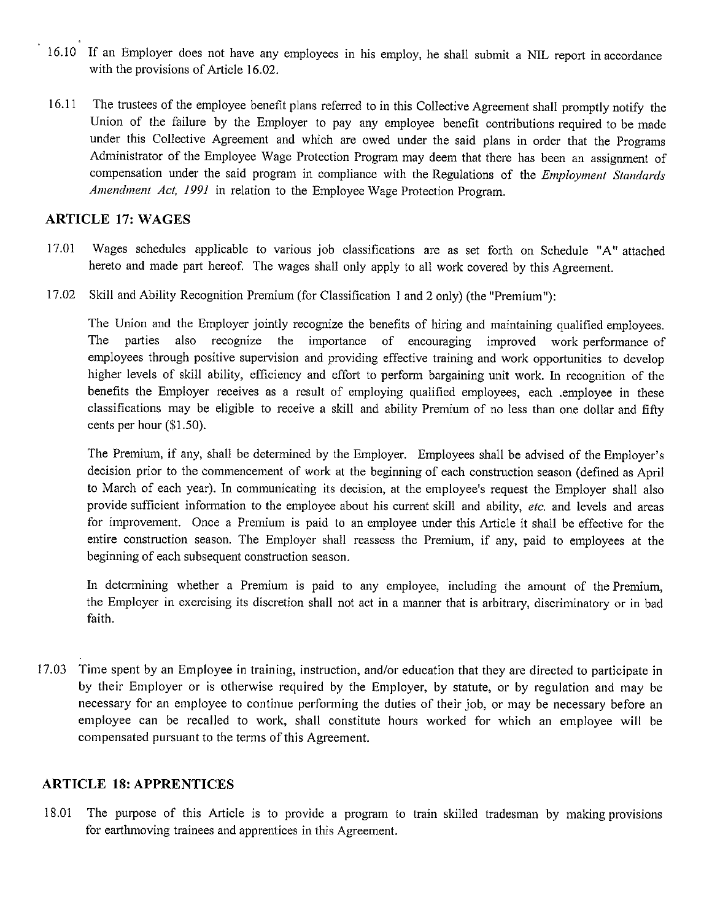- 16. 10 If an Employer does not have any employees in *his* employ, he shall submit a NIL report in accordance with the provisions of Article 16.02.
- 16.11 The trustees of the employee benefit plans referred to in this Collective Agreement shall promptly notify the Union of the failure by the Employer to pay any employee benefit contributions required to be made under this Collective Agreement and which are owed under the said plans in order that the Programs Administrator of the Employee Wage Protection Program may deem that there has been an assignment of compensation under the said program in compliance with the Regulations of the *Employment Standards Amendment Act, 1991* in relation to the Employee Wage Protection Program.

### **ARTICLE 17: WAGES**

- 17.01 Wages schedules applicable to various job classifications are as set forth on Schedule "A" attached hereto and made part hereof. The wages shall only apply to all work covered by this Agreement.
- 17.02 Skill and Ability Recognition Premium (for Classification I and 2 only) (the "Premium"):

The Union and the Employer jointly recognize the benefits of hiring and maintaining qualified employees. The parties also recognize the importance of encouraging improved work performance of employees through positive supervision and providing effective training and work opportunities to develop higher levels of skill ability, efficiency and effort to perform bargaining unit work. In recognition of the benefits the Employer receives as a result of employing qualified employees, each .employee in these classifications may be eligible to receive a skill and ability Premium of no less than one dollar and fifty cents per hour (\$1.50).

The Premium, if any, shall be determined by the Employer. Employees shall be advised of the Employer's decision prior to the commencement of work at the beginning of each construction season (defined as April to March of each year). In communicating its decision, at the employee's request the Employer shall also provide sufficient information to the employee about his current skill and ability, *etc.* and levels and areas for improvement. Once a Premium is paid to an employee under this Article it shall be effective for the entire construction season. The Employer shall reassess the Premium, if any, paid to employees at the beginning of each subsequent construction season.

In determining whether a Premium is paid to any employee, including the amount of the Premium, the Employer in exercising its discretion shall not act in a manner that is arbitrary, discriminatory or in bad faith.

17.03 Time spent by an Employee in training, instruction, and/or education that they are directed to participate in by their Employer or is otherwise required by the Employer, by statute, or by regulation and may be necessary for an employee to continue performing the duties of their job, or may be necessary before an employee can be recalled to work, shall constitute hours worked for which an employee will be compensated pursuant to the terms of this Agreement.

## **ARTICLE 18: APPRENTICES**

18.01 The purpose of this Article is to provide a program to train skilled tradesman by making provisions for earthmoving trainees and apprentices in this Agreement.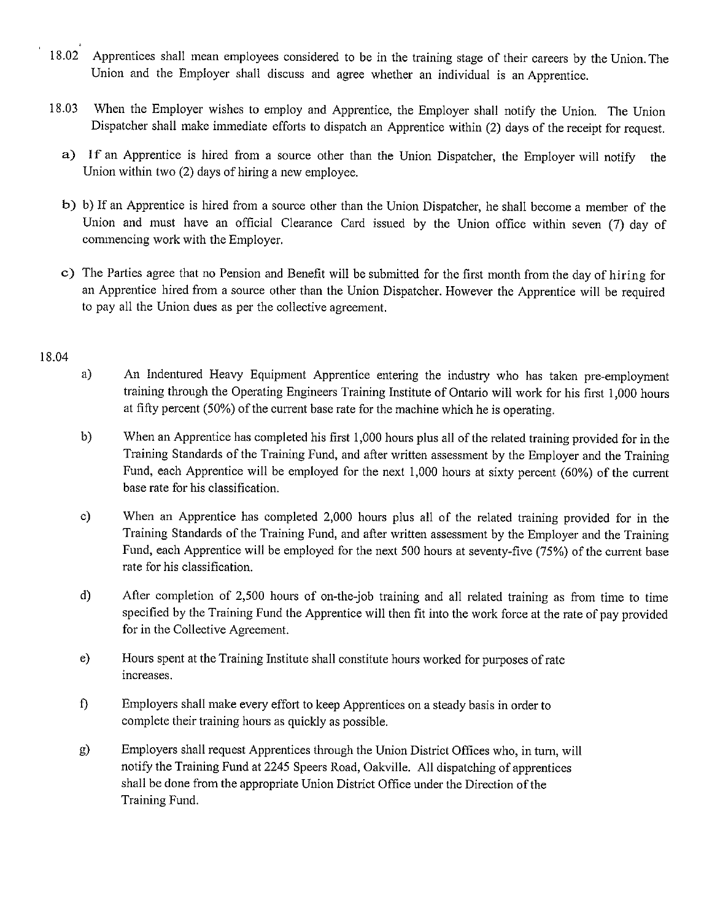- 18.02 Apprentices shall mean employees considered to be in the training stage of their careers by the Union. The Union and the Employer shall discuss and agree whether an individual is an Apprentice.
- 18.03 When the Employer wishes to employ and Apprentice, the Employer shall notify the Union. The Union Dispatcher shall make immediate efforts to dispatch an Apprentice within (2) days of the receipt for request.
	- a) If an Apprentice is hired from a source other than the Union Dispatcher, the Employer will notify the Union within two (2) days of hiring a new employee.
	- b) b) If an Apprentice is hired from a source other than the Union Dispatcher, he shall become a member of the Union and must have an official Clearance Card issued by the Union office within seven (7) day of commencing work with the Employer.
	- c) The Parties agree that no Pension and Benefit will be submitted for the first month from the day of hiring for an Apprentice hired from a source other than the Union Dispatcher. However the Apprentice will be required to pay all the Union dues as per the collective agreement.

#### 18.04

- a) An Indentured Heavy Equipment Apprentice entering the industry who has taken pre-employment training through the Operating Engineers Training Institute of Ontario will work for his first 1,000 hours at fifty percent (50%) of the current base rate for the machine which he is operating.
- b) When an Apprentice has completed his first 1,000 hours plus all of the related training provided for in the Training Standards of the Training Fund, and after written assessment by the Employer and the Training Fund, each Apprentice will be employed for the next 1,000 hours at sixty percent (60%) of the current base rate for his classification.
- c) When an Apprentice has completed 2,000 hours plus all of the related training provided for in the Training Standards of the Training Fund, and after written assessment by the Employer and the Training Fund, each Apprentice will be employed for the next 500 hours at seventy-five (75%) of the current base rate for his classification.
- d) After completion of 2,500 hours of on-the-job training and all related training as from time to time specified by the Training Fund the Apprentice will then fit into the work force at the rate of pay provided for in the Collective Agreement.
- e) Hours spent at the Training Institute shall constitute hours worked for purposes of rate increases.
- f) Employers shall make every effort to keep Apprentices on a steady basis in order to complete their training hours as quickly as possible.
- g) Employers shall request Apprentices through the Union District Offices who, in tum, will notify the Training Fund at 2245 Speers Road, Oakville. All dispatching of apprentices shall be done from the appropriate Union District Office under the Direction of the Training Fund.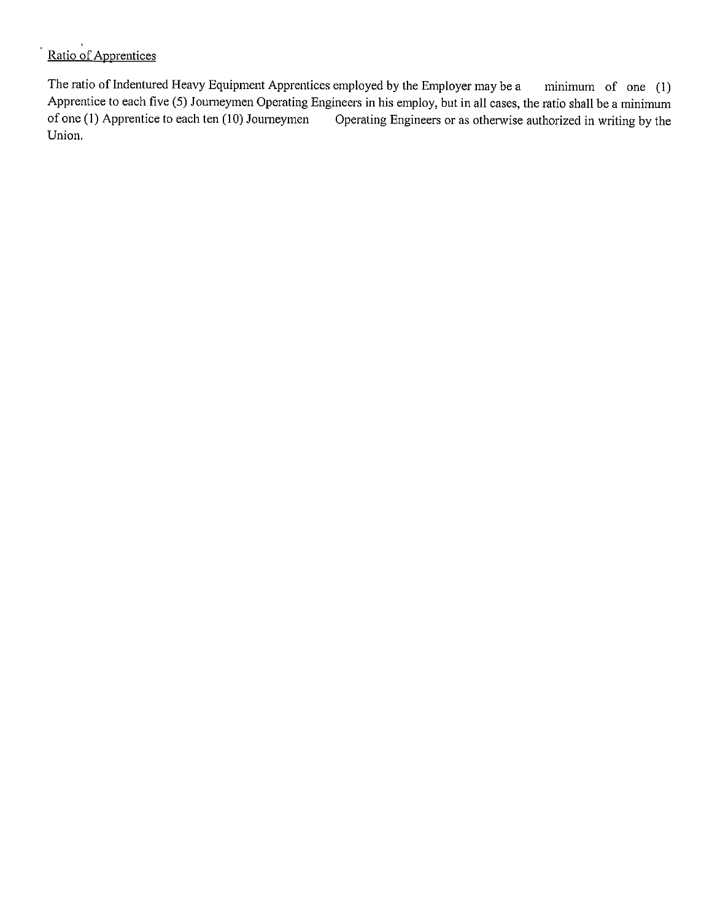# Ratio of Apprentices

The ratio of Indentured Heavy Equipment Apprentices employed by the Employer may be a minimum of one (I) Apprentice to each five (5) Journeymen Operating Engineers in his employ, but in all cases, the ratio shall be a minimum of one (1) Apprentice to each ten (10) Journeymen Operating Engineers or as otherwise authorized in w Operating Engineers or as otherwise authorized in writing by the Union.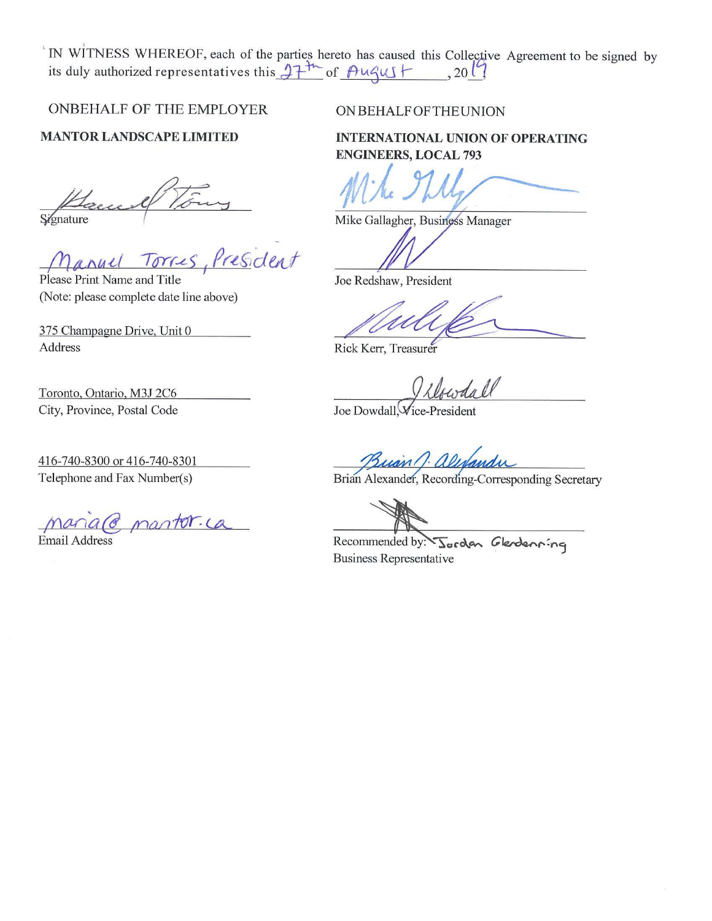IN WITNESS WHEREOF, each of the parties hereto has caused this Collective Agreement to be signed by its duly authorized representatives this  $1 + \frac{1}{2}$  of  $\theta$ ugus  $f = 0.20$ 

ONBEHALF OF THE EMPLOYER

**MANTOR LANDSCAPE LIMITED** 

Signature

President

Please Print Name and Title (Note: please complete date line above)

375 Champagne Drive, Unit 0 Address

Toronto, Ontario, M3J 2C6 City, Province, Postal Code

416-740-8300 or 416-740-8301 Telephone and Fax Number(s)

 $$ Email Address

### ON BEHALF OF THE UNION

**INTERNATIONAL UNION OF OPERATING ENGINEERS, LOCAL 793** 

Mike.

Mike Gallagher, Business Manager

Joe Redshaw, President

Rick Kerr, Treasurer

Joe Dowdall, Vice-President

Buan ( Wyandu

Recommended by: Jordan Glendenning Business Representative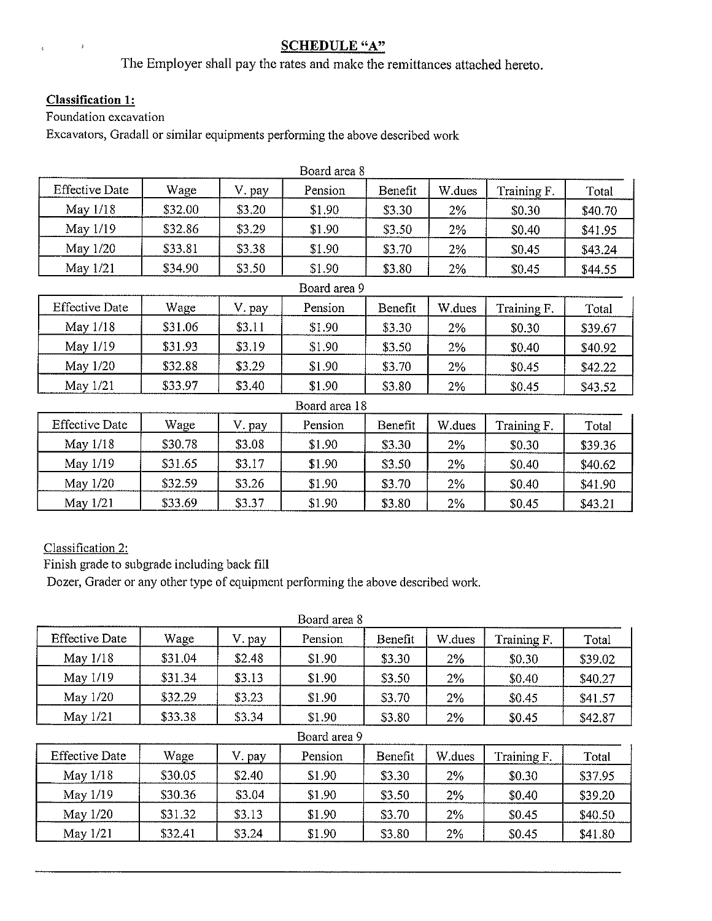# **SCHEDULE "A"**

The Employer shall pay the rates and make the remittances attached hereto.

# **Classification 1:**

 $\mathfrak{z}$ 

 $\bar{\mathbf{s}}$ 

Foundation excavation

Excavators, Gradall or similar equipments performing the above described work

|                       | Board area 8 |        |               |         |        |             |         |  |  |  |
|-----------------------|--------------|--------|---------------|---------|--------|-------------|---------|--|--|--|
| <b>Effective Date</b> | Wage         | V. pay | Pension       | Benefit | W.dues | Training F. | Total   |  |  |  |
| May 1/18              | \$32.00      | \$3.20 | \$1.90        | \$3.30  | 2%     | \$0.30      | \$40.70 |  |  |  |
| May 1/19              | \$32.86      | \$3.29 | \$1.90        | \$3.50  | 2%     | \$0.40      | \$41.95 |  |  |  |
| May 1/20              | \$33.81      | \$3.38 | \$1.90        | \$3.70  | 2%     | \$0.45      | \$43.24 |  |  |  |
| May 1/21              | \$34.90      | \$3.50 | \$1.90        | \$3.80  | $2\%$  | \$0.45      | \$44.55 |  |  |  |
|                       | Board area 9 |        |               |         |        |             |         |  |  |  |
| <b>Effective Date</b> | Wage         | V. pay | Pension       | Benefit | W.dues | Training F. | Total   |  |  |  |
| May 1/18              | \$31.06      | \$3.11 | \$1.90        | \$3.30  | 2%     | \$0.30      | \$39.67 |  |  |  |
| May 1/19              | \$31.93      | \$3.19 | \$1.90        | \$3.50  | 2%     | \$0.40      | \$40.92 |  |  |  |
| May 1/20              | \$32.88      | \$3.29 | \$1.90        | \$3.70  | 2%     | \$0.45      | \$42.22 |  |  |  |
| May 1/21              | \$33.97      | \$3.40 | \$1.90        | \$3.80  | 2%     | \$0.45      | \$43.52 |  |  |  |
|                       |              |        | Board area 18 |         |        |             |         |  |  |  |
| <b>Effective Date</b> | Wage         | V. pay | Pension       | Benefit | W.dues | Training F. | Total   |  |  |  |
| May 1/18              | \$30.78      | \$3.08 | \$1.90        | \$3.30  | 2%     | \$0.30      | \$39.36 |  |  |  |
| May 1/19              | \$31.65      | \$3.17 | \$1.90        | \$3.50  | 2%     | \$0.40      | \$40.62 |  |  |  |
| May 1/20              | \$32.59      | \$3.26 | \$1.90        | \$3.70  | 2%     | \$0.40      | \$41.90 |  |  |  |
| May 1/21              | \$33.69      | \$3.37 | \$1.90        | \$3.80  | $2\%$  | \$0.45      | \$43.21 |  |  |  |

# Classification 2:

Finish grade to subgrade including back fill

Dozer, Grader or any other type of equipment performing the above described work.

|                                                                                        | Board area 8 |        |              |         |        |             |         |  |  |  |  |
|----------------------------------------------------------------------------------------|--------------|--------|--------------|---------|--------|-------------|---------|--|--|--|--|
| <b>Effective Date</b><br>Wage<br>V. pay<br>W.dues<br>Pension<br>Training F.<br>Benefit |              |        |              |         |        |             |         |  |  |  |  |
| May 1/18                                                                               | \$31.04      | \$2.48 | \$1.90       | \$3.30  | 2%     | \$0.30      | \$39.02 |  |  |  |  |
| May 1/19                                                                               | \$31.34      | \$3.13 | \$1.90       | \$3.50  | 2%     | \$0.40      | \$40.27 |  |  |  |  |
| May 1/20                                                                               | \$32.29      | \$3.23 | \$1.90       | \$3.70  | 2%     | \$0.45      | \$41.57 |  |  |  |  |
| May $1/21$                                                                             | \$33.38      | \$3.34 | \$1.90       | \$3.80  | 2%     | \$0.45      | \$42.87 |  |  |  |  |
|                                                                                        |              |        | Board area 9 |         |        |             |         |  |  |  |  |
| <b>Effective Date</b>                                                                  | Wage         | V. pay | Pension      | Benefit | W.dues | Training F. | Total   |  |  |  |  |
| May $1/18$                                                                             | \$30.05      | \$2.40 | \$1.90       | \$3.30  | 2%     | \$0.30      | \$37.95 |  |  |  |  |
| May 1/19                                                                               | \$30.36      | \$3.04 | \$1.90       | \$3.50  | 2%     | \$0.40      | \$39.20 |  |  |  |  |
| May 1/20                                                                               | \$31.32      | \$3.13 | \$1.90       | \$3.70  | 2%     | \$0.45      | \$40.50 |  |  |  |  |
| May $1/21$                                                                             | \$32.41      | \$3.24 | \$1.90       | \$3.80  | 2%     | \$0.45      | \$41.80 |  |  |  |  |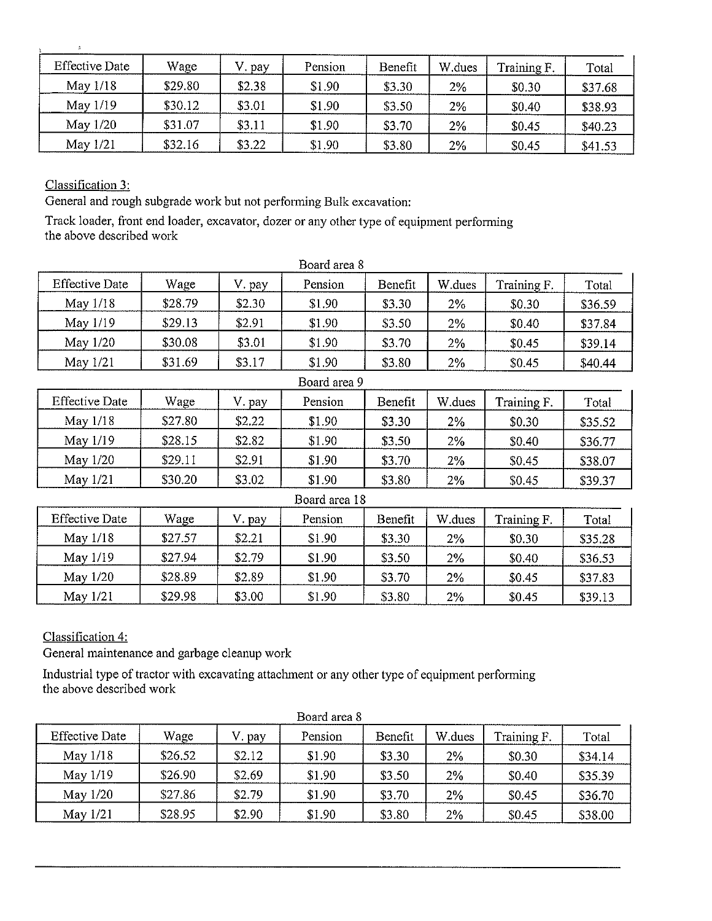| <b>Effective Date</b> | Wage    | . pay  | Pension | Benefit | W.dues | Training F. | Total   |
|-----------------------|---------|--------|---------|---------|--------|-------------|---------|
| May $1/18$            | \$29.80 | \$2.38 | \$1.90  | \$3.30  | 2%     | \$0.30      | \$37.68 |
| May 1/19              | \$30.12 | \$3.01 | \$1.90  | \$3.50  | 2%     | \$0.40      | \$38.93 |
| May 1/20              | \$31.07 | \$3.11 | \$1.90  | \$3.70  | 2%     | \$0.45      | \$40.23 |
| May 1/21              | \$32.16 | \$3.22 | \$1.90  | \$3.80  | 2%     | \$0.45      | \$41.53 |

Classification 3:

General and rough subgrade work but not performing Bulk excavation:

Track loader, front end loader, excavator, dozer or any other type of equipment performing the above described work

| <b>Effective Date</b> | Wage    | V. pay | Pension      | Benefit | W.dues | Training F. | Total   |
|-----------------------|---------|--------|--------------|---------|--------|-------------|---------|
| May 1/18              | \$28.79 | \$2.30 | \$1.90       | \$3.30  | $2\%$  | \$0.30      | \$36.59 |
| May 1/19              | \$29.13 | \$2.91 | \$1.90       | \$3.50  | 2%     | \$0.40      | \$37.84 |
| May 1/20              | \$30.08 | \$3.01 | \$1.90       | \$3.70  | 2%     | \$0.45      | \$39.14 |
| May 1/21              | \$31.69 | \$3.17 | \$1.90       | \$3.80  | 2%     | \$0.45      | \$40.44 |
|                       |         |        | Board area 9 |         |        |             |         |
| <b>Effective Date</b> | Wage    | V. pay | Pension      | Benefit | W.dues | Training F. | Total   |
| May 1/18              | \$27.80 | \$2.22 | \$1.90       | \$3.30  | 2%     | \$0.30      | \$35.52 |
| May 1/19              | \$28.15 | \$2.82 | \$1.90       | \$3.50  | 2%     | \$0.40      | \$36.77 |
| May 1/20              | \$29.11 | \$2.91 | \$1.90       | \$3.70  | 2%     | \$0.45      | \$38.07 |
| May 1/21              | \$30.20 | \$3.02 | \$1.90       | \$3.80  | 2%     | \$0.45      | \$39.37 |

| Board area 18         |         |        |         |         |        |             |         |  |  |  |
|-----------------------|---------|--------|---------|---------|--------|-------------|---------|--|--|--|
| <b>Effective Date</b> | Wage    | apay   | Pension | Benefit | W.dues | Training F. | Total   |  |  |  |
| May $1/18$            | \$27.57 | \$2.21 | \$1.90  | \$3.30  | 2%     | \$0.30      | \$35.28 |  |  |  |
| May 1/19              | \$27.94 | \$2.79 | \$1.90  | \$3.50  | 2%     | \$0.40      | \$36.53 |  |  |  |
| May $1/20$            | \$28.89 | \$2.89 | \$1.90  | \$3.70  | 2%     | \$0.45      | \$37.83 |  |  |  |
| May $1/21$            | \$29.98 | \$3.00 | \$1.90  | \$3.80  | 2%     | \$0.45      | \$39.13 |  |  |  |

Classification 4:

General maintenance and garbage cleanup work

Industrial type of tractor with excavating attachment or any other type of equipment performing the above described work

| <b>Effective Date</b> | Wage    | pay    | Pension | Benefit | W.dues | Training F. | Total   |
|-----------------------|---------|--------|---------|---------|--------|-------------|---------|
| May $1/18$            | \$26.52 | \$2.12 | \$1.90  | \$3.30  | 2%     | \$0.30      | \$34.14 |
| May 1/19              | \$26.90 | \$2.69 | \$1.90  | \$3.50  | 2%     | \$0.40      | \$35.39 |
| May $1/20$            | \$27,86 | \$2.79 | \$1.90  | \$3.70  | 2%     | \$0.45      | \$36.70 |
| May $1/21$            | \$28.95 | \$2.90 | \$1.90  | \$3.80  | 2%     | \$0.45      | \$38.00 |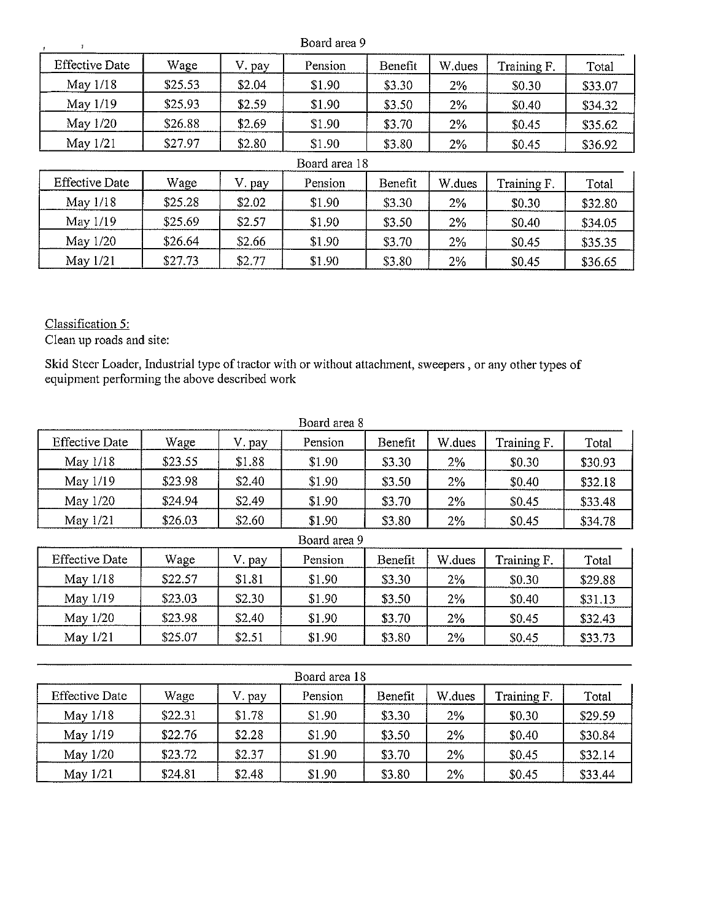|                       |         |        | Board area 9  |         |        |             |         |
|-----------------------|---------|--------|---------------|---------|--------|-------------|---------|
| <b>Effective Date</b> | Wage    | V. pay | Pension       | Benefit | W.dues | Training F. | Total   |
| May 1/18              | \$25.53 | \$2.04 | \$1.90        | \$3.30  | 2%     | \$0.30      | \$33.07 |
| May 1/19              | \$25.93 | \$2.59 | \$1.90        | \$3.50  | 2%     | \$0.40      | \$34.32 |
| May 1/20              | \$26.88 | \$2.69 | \$1.90        | \$3.70  | 2%     | \$0.45      | \$35.62 |
| May 1/21              | \$27.97 | \$2.80 | \$1.90        | \$3.80  | 2%     | \$0.45      | \$36.92 |
|                       |         |        | Board area 18 |         |        |             |         |
| <b>Effective Date</b> | Wage    | V. pay | Pension       | Benefit | W.dues | Training F. | Total   |
| May 1/18              | \$25.28 | \$2.02 | \$1.90        | \$3.30  | 2%     | \$0.30      | \$32.80 |
| May 1/19              | \$25.69 | \$2.57 | \$1.90        | \$3.50  | $2\%$  | \$0.40      | \$34.05 |
| May 1/20              | \$26.64 | \$2.66 | \$1.90        | \$3.70  | $2\%$  | \$0.45      | \$35.35 |
| May 1/21              | \$27.73 | \$2.77 | \$1.90        | \$3.80  | 2%     | \$0.45      | \$36.65 |

Classification 5:

Clean up roads and site:

Skid Steer Loader, Industrial type of tractor with or without attachment, sweepers , or any other types of equipment perfonning the above described work

| <b>Effective Date</b> | Wage    | V. pay | Pension      | Benefit | W.dues | Training F. | Total   |
|-----------------------|---------|--------|--------------|---------|--------|-------------|---------|
| May 1/18              | \$23.55 | \$1.88 | \$1.90       | \$3.30  | 2%     | \$0.30      | \$30.93 |
| May 1/19              | \$23.98 | \$2.40 | \$1.90       | \$3.50  | 2%     | \$0.40      | \$32.18 |
| May 1/20              | \$24.94 | \$2.49 | \$1.90       | \$3.70  | 2%     | \$0.45      | \$33.48 |
| May $1/21$            | \$26.03 | \$2.60 | \$1.90       | \$3.80  | 2%     | \$0.45      | \$34.78 |
|                       |         |        | Board area 9 |         |        |             |         |
| <b>Effective Date</b> | Wage    | V. pay | Pension      | Benefit | W.dues | Training F. | Total   |
| May 1/18              | \$22.57 | \$1.81 | \$1.90       | \$3.30  | 2%     | \$0.30      | \$29.88 |
| May 1/19              | \$23.03 | \$2.30 | \$1.90       | \$3.50  | 2%     | \$0.40      | \$31.13 |
| May 1/20              | \$23.98 | \$2.40 | \$1.90       | \$3.70  | $2\%$  | \$0.45      | \$32.43 |
| May $1/21$            | \$25.07 | \$2.51 | \$1.90       | \$3.80  | 2%     | \$0.45      | \$33.73 |

| Board area 18         |         |        |         |         |        |             |         |  |  |  |
|-----------------------|---------|--------|---------|---------|--------|-------------|---------|--|--|--|
| <b>Effective Date</b> | Wage    | V. pay | Pension | Benefit | W.dues | Training F. | Total   |  |  |  |
| May $1/18$            | \$22.31 | \$1.78 | \$1.90  | \$3,30  | 2%     | \$0.30      | \$29.59 |  |  |  |
| May 1/19              | \$22.76 | \$2.28 | \$1.90  | \$3.50  | 2%     | \$0.40      | \$30.84 |  |  |  |
| May 1/20              | \$23.72 | \$2.37 | \$1.90  | \$3.70  | 2%     | \$0.45      | \$32.14 |  |  |  |
| May $1/21$            | \$24.81 | \$2.48 | \$1.90  | \$3.80  | 2%     | \$0.45      | \$33.44 |  |  |  |